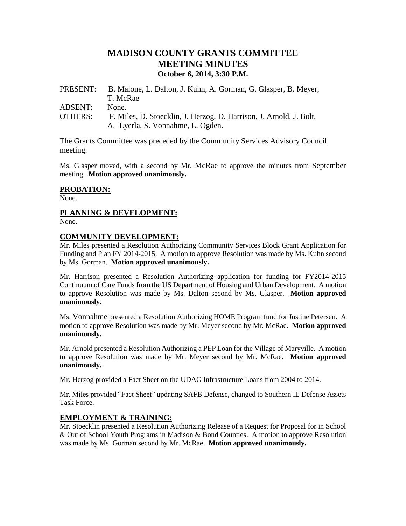# **MADISON COUNTY GRANTS COMMITTEE MEETING MINUTES October 6, 2014, 3:30 P.M.**

| PRESENT:       | B. Malone, L. Dalton, J. Kuhn, A. Gorman, G. Glasper, B. Meyer,     |
|----------------|---------------------------------------------------------------------|
|                | T. McRae                                                            |
| ABSENT:        | None.                                                               |
| <b>OTHERS:</b> | F. Miles, D. Stoecklin, J. Herzog, D. Harrison, J. Arnold, J. Bolt, |
|                | A. Lyerla, S. Vonnahme, L. Ogden.                                   |

The Grants Committee was preceded by the Community Services Advisory Council meeting.

Ms. Glasper moved, with a second by Mr. McRae to approve the minutes from September meeting. **Motion approved unanimously.**

#### **PROBATION:**

None.

## **PLANNING & DEVELOPMENT:**

None.

#### **COMMUNITY DEVELOPMENT:**

Mr. Miles presented a Resolution Authorizing Community Services Block Grant Application for Funding and Plan FY 2014-2015. A motion to approve Resolution was made by Ms. Kuhn second by Ms. Gorman. **Motion approved unanimously.**

Mr. Harrison presented a Resolution Authorizing application for funding for FY2014-2015 Continuum of Care Funds from the US Department of Housing and Urban Development. A motion to approve Resolution was made by Ms. Dalton second by Ms. Glasper. **Motion approved unanimously.**

Ms. Vonnahme presented a Resolution Authorizing HOME Program fund for Justine Petersen. A motion to approve Resolution was made by Mr. Meyer second by Mr. McRae. **Motion approved unanimously.**

Mr. Arnold presented a Resolution Authorizing a PEP Loan for the Village of Maryville. A motion to approve Resolution was made by Mr. Meyer second by Mr. McRae. **Motion approved unanimously.**

Mr. Herzog provided a Fact Sheet on the UDAG Infrastructure Loans from 2004 to 2014.

Mr. Miles provided "Fact Sheet" updating SAFB Defense, changed to Southern IL Defense Assets Task Force.

#### **EMPLOYMENT & TRAINING:**

Mr. Stoecklin presented a Resolution Authorizing Release of a Request for Proposal for in School & Out of School Youth Programs in Madison & Bond Counties. A motion to approve Resolution was made by Ms. Gorman second by Mr. McRae. **Motion approved unanimously.**